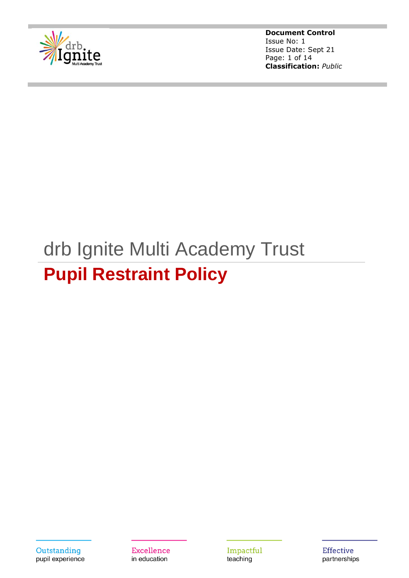

**Document Control** Issue No: 1 Issue Date: Sept 21 Page: 1 of 14 **Classification:** *Public*

# drb Ignite Multi Academy Trust **Pupil Restraint Policy**

Outstanding pupil experience **Excellence** in education

Impactful teaching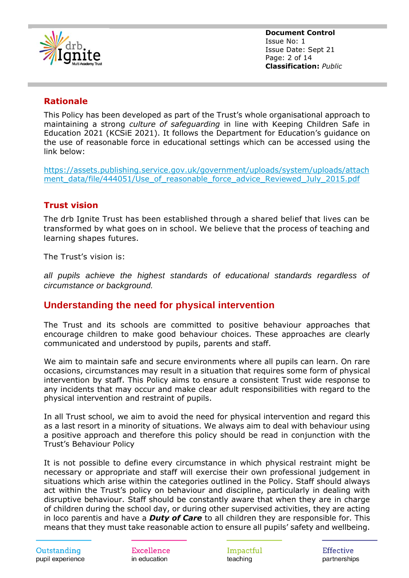

**Document Control** Issue No: 1 Issue Date: Sept 21 Page: 2 of 14 **Classification:** *Public*

## **Rationale**

This Policy has been developed as part of the Trust's whole organisational approach to maintaining a strong *culture of safeguarding* in line with Keeping Children Safe in Education 2021 (KCSiE 2021). It follows the Department for Education's guidance on the use of reasonable force in educational settings which can be accessed using the link below:

[https://assets.publishing.service.gov.uk/government/uploads/system/uploads/attach](https://assets.publishing.service.gov.uk/government/uploads/system/uploads/attachment_data/file/444051/Use_of_reasonable_force_advice_Reviewed_July_2015.pdf) [ment\\_data/file/444051/Use\\_of\\_reasonable\\_force\\_advice\\_Reviewed\\_July\\_2015.pdf](https://assets.publishing.service.gov.uk/government/uploads/system/uploads/attachment_data/file/444051/Use_of_reasonable_force_advice_Reviewed_July_2015.pdf)

## **Trust vision**

The drb Ignite Trust has been established through a shared belief that lives can be transformed by what goes on in school. We believe that the process of teaching and learning shapes futures.

The Trust's vision is:

*all pupils achieve the highest standards of educational standards regardless of circumstance or background.*

## **Understanding the need for physical intervention**

The Trust and its schools are committed to positive behaviour approaches that encourage children to make good behaviour choices. These approaches are clearly communicated and understood by pupils, parents and staff.

We aim to maintain safe and secure environments where all pupils can learn. On rare occasions, circumstances may result in a situation that requires some form of physical intervention by staff. This Policy aims to ensure a consistent Trust wide response to any incidents that may occur and make clear adult responsibilities with regard to the physical intervention and restraint of pupils.

In all Trust school, we aim to avoid the need for physical intervention and regard this as a last resort in a minority of situations. We always aim to deal with behaviour using a positive approach and therefore this policy should be read in conjunction with the Trust's Behaviour Policy

It is not possible to define every circumstance in which physical restraint might be necessary or appropriate and staff will exercise their own professional judgement in situations which arise within the categories outlined in the Policy. Staff should always act within the Trust's policy on behaviour and discipline, particularly in dealing with disruptive behaviour. Staff should be constantly aware that when they are in charge of children during the school day, or during other supervised activities, they are acting in loco parentis and have a *Duty of Care* to all children they are responsible for. This means that they must take reasonable action to ensure all pupils' safety and wellbeing.

Outstanding pupil experience

Excellence in education

Impactful teaching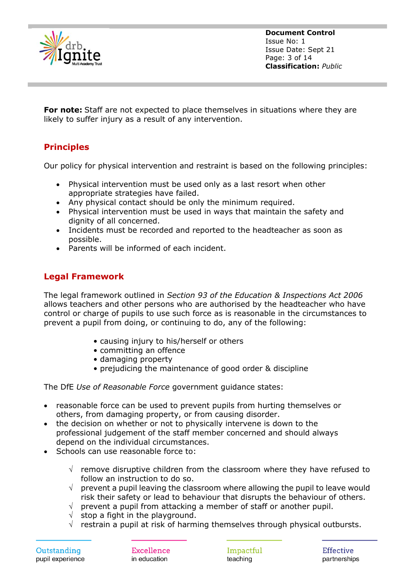

**Document Control** Issue No: 1 Issue Date: Sept 21 Page: 3 of 14 **Classification:** *Public*

**For note:** Staff are not expected to place themselves in situations where they are likely to suffer injury as a result of any intervention.

# **Principles**

Our policy for physical intervention and restraint is based on the following principles:

- Physical intervention must be used only as a last resort when other appropriate strategies have failed.
- Any physical contact should be only the minimum required.
- Physical intervention must be used in ways that maintain the safety and dignity of all concerned.
- Incidents must be recorded and reported to the headteacher as soon as possible.
- Parents will be informed of each incident.

## **Legal Framework**

The legal framework outlined in *Section 93 of the Education & Inspections Act 2006* allows teachers and other persons who are authorised by the headteacher who have control or charge of pupils to use such force as is reasonable in the circumstances to prevent a pupil from doing, or continuing to do, any of the following:

- causing injury to his/herself or others
- committing an offence
- damaging property
- prejudicing the maintenance of good order & discipline

The DfE *Use of Reasonable Force* government guidance states:

- reasonable force can be used to prevent pupils from hurting themselves or others, from damaging property, or from causing disorder.
- the decision on whether or not to physically intervene is down to the professional judgement of the staff member concerned and should always depend on the individual circumstances.
- Schools can use reasonable force to:
	- $\sqrt{ }$  remove disruptive children from the classroom where they have refused to follow an instruction to do so.
	- $\sqrt{ }$  prevent a pupil leaving the classroom where allowing the pupil to leave would risk their safety or lead to behaviour that disrupts the behaviour of others.
	- $\sqrt{ }$  prevent a pupil from attacking a member of staff or another pupil.
	- $\sqrt{ }$  stop a fight in the playground.
	- $\sqrt{ }$  restrain a pupil at risk of harming themselves through physical outbursts.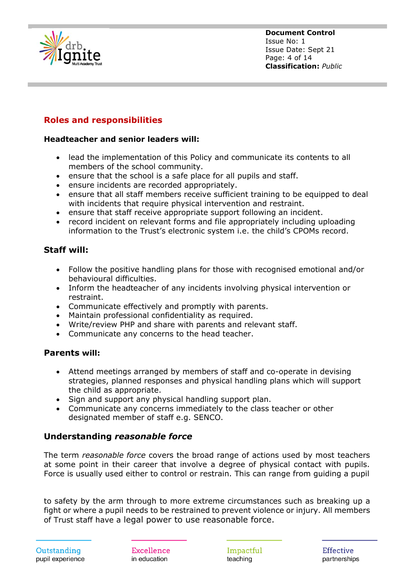

**Document Control** Issue No: 1 Issue Date: Sept 21 Page: 4 of 14 **Classification:** *Public*

# **Roles and responsibilities**

#### **Headteacher and senior leaders will:**

- lead the implementation of this Policy and communicate its contents to all members of the school community.
- ensure that the school is a safe place for all pupils and staff.
- ensure incidents are recorded appropriately.
- ensure that all staff members receive sufficient training to be equipped to deal with incidents that require physical intervention and restraint.
- ensure that staff receive appropriate support following an incident.
- record incident on relevant forms and file appropriately including uploading information to the Trust's electronic system i.e. the child's CPOMs record.

#### **Staff will:**

- Follow the positive handling plans for those with recognised emotional and/or behavioural difficulties.
- Inform the headteacher of any incidents involving physical intervention or restraint.
- Communicate effectively and promptly with parents.
- Maintain professional confidentiality as required.
- Write/review PHP and share with parents and relevant staff.
- Communicate any concerns to the head teacher.

#### **Parents will:**

- Attend meetings arranged by members of staff and co-operate in devising strategies, planned responses and physical handling plans which will support the child as appropriate.
- Sign and support any physical handling support plan.
- Communicate any concerns immediately to the class teacher or other designated member of staff e.g. SENCO.

#### **Understanding** *reasonable force*

The term *reasonable force* covers the broad range of actions used by most teachers at some point in their career that involve a degree of physical contact with pupils. Force is usually used either to control or restrain. This can range from guiding a pupil

to safety by the arm through to more extreme circumstances such as breaking up a fight or where a pupil needs to be restrained to prevent violence or injury. All members of Trust staff have a legal power to use reasonable force.

Excellence in education

Impactful teaching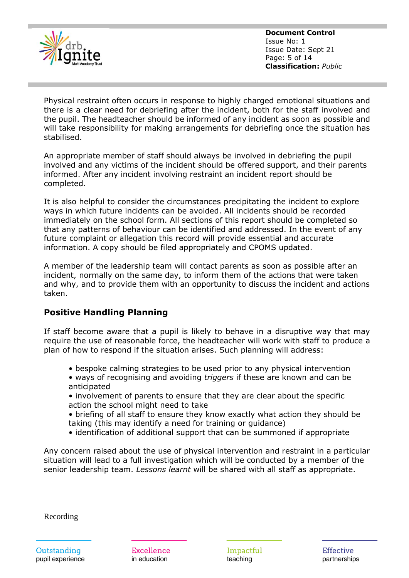

**Document Control** Issue No: 1 Issue Date: Sept 21 Page: 5 of 14 **Classification:** *Public*

Physical restraint often occurs in response to highly charged emotional situations and there is a clear need for debriefing after the incident, both for the staff involved and the pupil. The headteacher should be informed of any incident as soon as possible and will take responsibility for making arrangements for debriefing once the situation has stabilised.

An appropriate member of staff should always be involved in debriefing the pupil involved and any victims of the incident should be offered support, and their parents informed. After any incident involving restraint an incident report should be completed.

It is also helpful to consider the circumstances precipitating the incident to explore ways in which future incidents can be avoided. All incidents should be recorded immediately on the school form. All sections of this report should be completed so that any patterns of behaviour can be identified and addressed. In the event of any future complaint or allegation this record will provide essential and accurate information. A copy should be filed appropriately and CPOMS updated.

A member of the leadership team will contact parents as soon as possible after an incident, normally on the same day, to inform them of the actions that were taken and why, and to provide them with an opportunity to discuss the incident and actions taken.

## **Positive Handling Planning**

If staff become aware that a pupil is likely to behave in a disruptive way that may require the use of reasonable force, the headteacher will work with staff to produce a plan of how to respond if the situation arises. Such planning will address:

- bespoke calming strategies to be used prior to any physical intervention
- ways of recognising and avoiding *triggers* if these are known and can be anticipated
- involvement of parents to ensure that they are clear about the specific action the school might need to take
- briefing of all staff to ensure they know exactly what action they should be taking (this may identify a need for training or guidance)
- identification of additional support that can be summoned if appropriate

Any concern raised about the use of physical intervention and restraint in a particular situation will lead to a full investigation which will be conducted by a member of the senior leadership team. *Lessons learnt* will be shared with all staff as appropriate.

Recording

Impactful teaching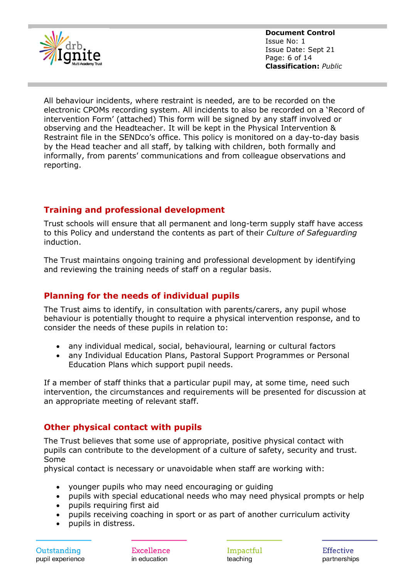

**Document Control** Issue No: 1 Issue Date: Sept 21 Page: 6 of 14 **Classification:** *Public*

All behaviour incidents, where restraint is needed, are to be recorded on the electronic CPOMs recording system. All incidents to also be recorded on a 'Record of intervention Form' (attached) This form will be signed by any staff involved or observing and the Headteacher. It will be kept in the Physical Intervention & Restraint file in the SENDco's office. This policy is monitored on a day-to-day basis by the Head teacher and all staff, by talking with children, both formally and informally, from parents' communications and from colleague observations and reporting.

## **Training and professional development**

Trust schools will ensure that all permanent and long-term supply staff have access to this Policy and understand the contents as part of their *Culture of Safeguarding* induction.

The Trust maintains ongoing training and professional development by identifying and reviewing the training needs of staff on a regular basis.

## **Planning for the needs of individual pupils**

The Trust aims to identify, in consultation with parents/carers, any pupil whose behaviour is potentially thought to require a physical intervention response, and to consider the needs of these pupils in relation to:

- any individual medical, social, behavioural, learning or cultural factors
- any Individual Education Plans, Pastoral Support Programmes or Personal Education Plans which support pupil needs.

If a member of staff thinks that a particular pupil may, at some time, need such intervention, the circumstances and requirements will be presented for discussion at an appropriate meeting of relevant staff.

## **Other physical contact with pupils**

The Trust believes that some use of appropriate, positive physical contact with pupils can contribute to the development of a culture of safety, security and trust. Some

physical contact is necessary or unavoidable when staff are working with:

- younger pupils who may need encouraging or guiding
- pupils with special educational needs who may need physical prompts or help
- pupils requiring first aid
- pupils receiving coaching in sport or as part of another curriculum activity
- pupils in distress.

Outstanding pupil experience Excellence in education

Impactful teaching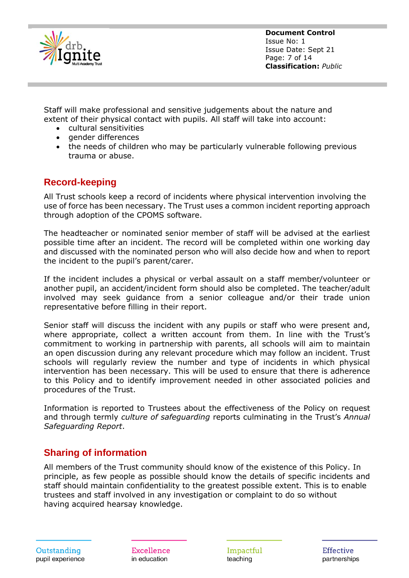

**Document Control** Issue No: 1 Issue Date: Sept 21 Page: 7 of 14 **Classification:** *Public*

Staff will make professional and sensitive judgements about the nature and extent of their physical contact with pupils. All staff will take into account:

- cultural sensitivities
- gender differences
- the needs of children who may be particularly vulnerable following previous trauma or abuse.

# **Record-keeping**

All Trust schools keep a record of incidents where physical intervention involving the use of force has been necessary. The Trust uses a common incident reporting approach through adoption of the CPOMS software.

The headteacher or nominated senior member of staff will be advised at the earliest possible time after an incident. The record will be completed within one working day and discussed with the nominated person who will also decide how and when to report the incident to the pupil's parent/carer.

If the incident includes a physical or verbal assault on a staff member/volunteer or another pupil, an accident/incident form should also be completed. The teacher/adult involved may seek guidance from a senior colleague and/or their trade union representative before filling in their report.

Senior staff will discuss the incident with any pupils or staff who were present and, where appropriate, collect a written account from them. In line with the Trust's commitment to working in partnership with parents, all schools will aim to maintain an open discussion during any relevant procedure which may follow an incident. Trust schools will regularly review the number and type of incidents in which physical intervention has been necessary. This will be used to ensure that there is adherence to this Policy and to identify improvement needed in other associated policies and procedures of the Trust.

Information is reported to Trustees about the effectiveness of the Policy on request and through termly *culture of safeguarding* reports culminating in the Trust's *Annual Safeguarding Report*.

## **Sharing of information**

All members of the Trust community should know of the existence of this Policy. In principle, as few people as possible should know the details of specific incidents and staff should maintain confidentiality to the greatest possible extent. This is to enable trustees and staff involved in any investigation or complaint to do so without having acquired hearsay knowledge.

Excellence in education

Impactful teaching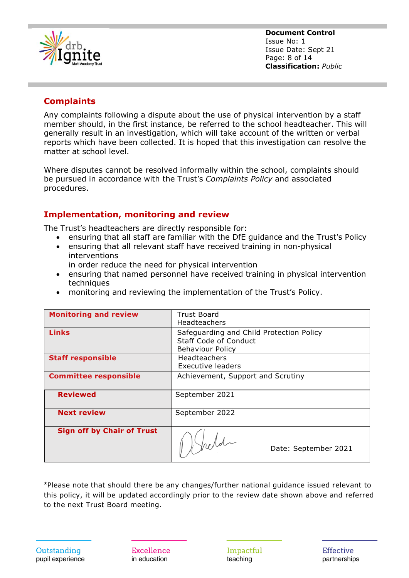

**Document Control** Issue No: 1 Issue Date: Sept 21 Page: 8 of 14 **Classification:** *Public*

## **Complaints**

Any complaints following a dispute about the use of physical intervention by a staff member should, in the first instance, be referred to the school headteacher. This will generally result in an investigation, which will take account of the written or verbal reports which have been collected. It is hoped that this investigation can resolve the matter at school level.

Where disputes cannot be resolved informally within the school, complaints should be pursued in accordance with the Trust's *Complaints Policy* and associated procedures.

## **Implementation, monitoring and review**

The Trust's headteachers are directly responsible for:

- ensuring that all staff are familiar with the DfE guidance and the Trust's Policy
- ensuring that all relevant staff have received training in non-physical interventions
	- in order reduce the need for physical intervention
- ensuring that named personnel have received training in physical intervention techniques
- monitoring and reviewing the implementation of the Trust's Policy.

| <b>Monitoring and review</b>      | Trust Board                              |  |  |
|-----------------------------------|------------------------------------------|--|--|
|                                   | <b>Headteachers</b>                      |  |  |
| <b>Links</b>                      | Safeguarding and Child Protection Policy |  |  |
|                                   | Staff Code of Conduct                    |  |  |
|                                   | <b>Behaviour Policy</b>                  |  |  |
| <b>Staff responsible</b>          | <b>Headteachers</b>                      |  |  |
|                                   | Executive leaders                        |  |  |
| <b>Committee responsible</b>      | Achievement, Support and Scrutiny        |  |  |
|                                   |                                          |  |  |
| <b>Reviewed</b>                   | September 2021                           |  |  |
|                                   |                                          |  |  |
| <b>Next review</b>                | September 2022                           |  |  |
|                                   |                                          |  |  |
| <b>Sign off by Chair of Trust</b> | Ireld<br>Date: September 2021            |  |  |
|                                   |                                          |  |  |

\*Please note that should there be any changes/further national guidance issued relevant to this policy, it will be updated accordingly prior to the review date shown above and referred to the next Trust Board meeting.

Outstanding pupil experience

Excellence in education

Impactful teaching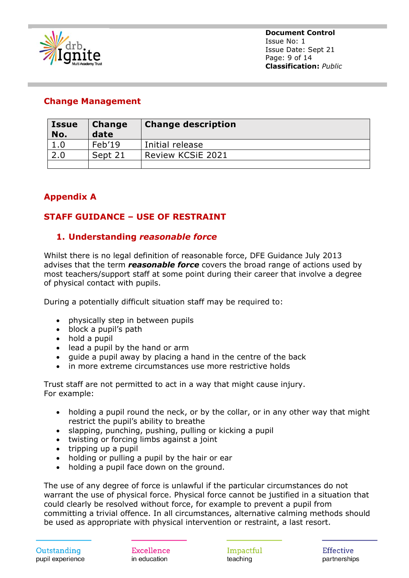

## **Change Management**

| <b>Issue</b><br>No. | <b>Change</b><br>date | <b>Change description</b> |
|---------------------|-----------------------|---------------------------|
| 1.0                 | Feb'19                | Initial release           |
|                     | Sept 21               | Review KCSiE 2021         |
|                     |                       |                           |

## **Appendix A**

## **STAFF GUIDANCE – USE OF RESTRAINT**

## **1. Understanding** *reasonable force*

Whilst there is no legal definition of reasonable force, DFE Guidance July 2013 advises that the term *reasonable force* covers the broad range of actions used by most teachers/support staff at some point during their career that involve a degree of physical contact with pupils.

During a potentially difficult situation staff may be required to:

- physically step in between pupils
- block a pupil's path
- hold a pupil
- lead a pupil by the hand or arm
- quide a pupil away by placing a hand in the centre of the back
- in more extreme circumstances use more restrictive holds

Trust staff are not permitted to act in a way that might cause injury. For example:

- holding a pupil round the neck, or by the collar, or in any other way that might restrict the pupil's ability to breathe
- slapping, punching, pushing, pulling or kicking a pupil
- twisting or forcing limbs against a joint
- tripping up a pupil
- holding or pulling a pupil by the hair or ear
- holding a pupil face down on the ground.

The use of any degree of force is unlawful if the particular circumstances do not warrant the use of physical force. Physical force cannot be justified in a situation that could clearly be resolved without force, for example to prevent a pupil from committing a trivial offence. In all circumstances, alternative calming methods should be used as appropriate with physical intervention or restraint, a last resort.

Excellence in education

Impactful teaching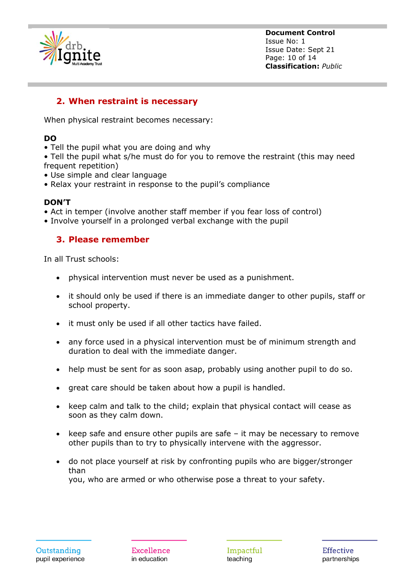

**Document Control** Issue No: 1 Issue Date: Sept 21 Page: 10 of 14 **Classification:** *Public*

## **2. When restraint is necessary**

When physical restraint becomes necessary:

#### **DO**

- Tell the pupil what you are doing and why
- Tell the pupil what s/he must do for you to remove the restraint (this may need frequent repetition)
- Use simple and clear language
- Relax your restraint in response to the pupil's compliance

#### **DON'T**

- Act in temper (involve another staff member if you fear loss of control)
- Involve yourself in a prolonged verbal exchange with the pupil

#### **3. Please remember**

In all Trust schools:

- physical intervention must never be used as a punishment.
- it should only be used if there is an immediate danger to other pupils, staff or school property.
- it must only be used if all other tactics have failed.
- any force used in a physical intervention must be of minimum strength and duration to deal with the immediate danger.
- help must be sent for as soon asap, probably using another pupil to do so.
- great care should be taken about how a pupil is handled.
- keep calm and talk to the child; explain that physical contact will cease as soon as they calm down.
- keep safe and ensure other pupils are safe it may be necessary to remove other pupils than to try to physically intervene with the aggressor.
- do not place yourself at risk by confronting pupils who are bigger/stronger than

Excellence in education

Impactful teaching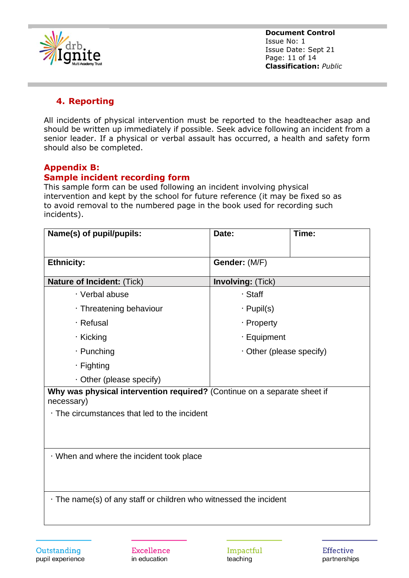

**Document Control** Issue No: 1 Issue Date: Sept 21 Page: 11 of 14 **Classification:** *Public*

## **4. Reporting**

All incidents of physical intervention must be reported to the headteacher asap and should be written up immediately if possible. Seek advice following an incident from a senior leader. If a physical or verbal assault has occurred, a health and safety form should also be completed.

## **Appendix B:**

## **Sample incident recording form**

This sample form can be used following an incident involving physical intervention and kept by the school for future reference (it may be fixed so as to avoid removal to the numbered page in the book used for recording such incidents).

| Name(s) of pupil/pupils:                                                               | Date:                          | Time: |  |  |
|----------------------------------------------------------------------------------------|--------------------------------|-------|--|--|
|                                                                                        |                                |       |  |  |
| <b>Ethnicity:</b>                                                                      | Gender: (M/F)                  |       |  |  |
| <b>Nature of Incident: (Tick)</b>                                                      | <b>Involving: (Tick)</b>       |       |  |  |
| · Verbal abuse                                                                         | $\cdot$ Staff                  |       |  |  |
| · Threatening behaviour                                                                | $\cdot$ Pupil(s)               |       |  |  |
| · Refusal                                                                              | · Property                     |       |  |  |
| · Kicking                                                                              | · Equipment                    |       |  |  |
| · Punching                                                                             | $\cdot$ Other (please specify) |       |  |  |
| · Fighting                                                                             |                                |       |  |  |
| · Other (please specify)                                                               |                                |       |  |  |
| Why was physical intervention required? (Continue on a separate sheet if<br>necessary) |                                |       |  |  |
| $\cdot$ The circumstances that led to the incident                                     |                                |       |  |  |
|                                                                                        |                                |       |  |  |
|                                                                                        |                                |       |  |  |
| When and where the incident took place                                                 |                                |       |  |  |
|                                                                                        |                                |       |  |  |
|                                                                                        |                                |       |  |  |
| $\cdot$ The name(s) of any staff or children who witnessed the incident                |                                |       |  |  |
|                                                                                        |                                |       |  |  |
|                                                                                        |                                |       |  |  |

**Excellence** in education

Impactful teaching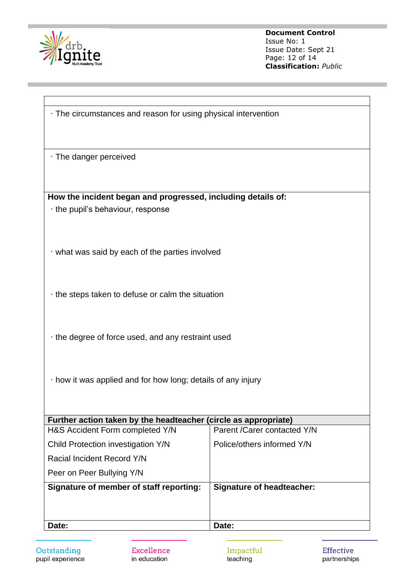

| • The circumstances and reason for using physical intervention                                          |                                  |  |  |  |  |
|---------------------------------------------------------------------------------------------------------|----------------------------------|--|--|--|--|
| $\cdot$ The danger perceived                                                                            |                                  |  |  |  |  |
| How the incident began and progressed, including details of:<br>$\cdot$ the pupil's behaviour, response |                                  |  |  |  |  |
| what was said by each of the parties involved                                                           |                                  |  |  |  |  |
| the steps taken to defuse or calm the situation                                                         |                                  |  |  |  |  |
| the degree of force used, and any restraint used                                                        |                                  |  |  |  |  |
| how it was applied and for how long; details of any injury                                              |                                  |  |  |  |  |
| Further action taken by the headteacher (circle as appropriate)                                         |                                  |  |  |  |  |
| H&S Accident Form completed Y/N                                                                         | Parent / Carer contacted Y/N     |  |  |  |  |
| Child Protection investigation Y/N                                                                      | Police/others informed Y/N       |  |  |  |  |
| Racial Incident Record Y/N                                                                              |                                  |  |  |  |  |
| Peer on Peer Bullying Y/N                                                                               |                                  |  |  |  |  |
| Signature of member of staff reporting:                                                                 | <b>Signature of headteacher:</b> |  |  |  |  |
| Date:                                                                                                   | Date:                            |  |  |  |  |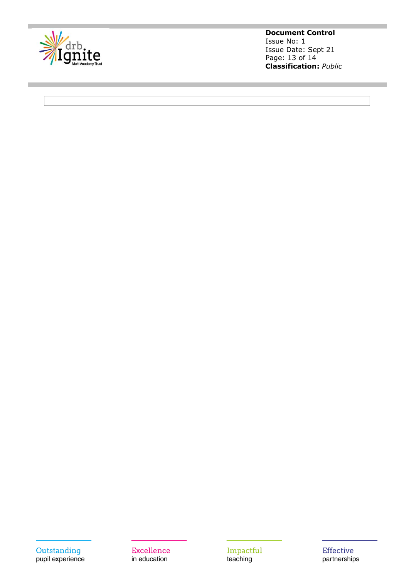

**Document Control** Issue No: 1 Issue Date: Sept 21 Page: 13 of 14 **Classification:** *Public*



Outstanding<br>pupil experience

Excellence in education

Impactful<br>teaching